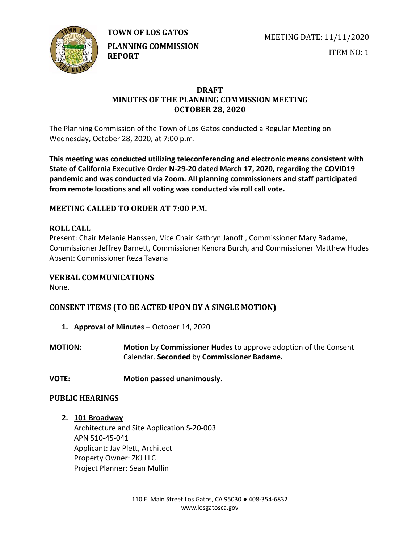

**TOWN OF LOS GATOS** 

**PLANNING COMMISSION REPORT**

MEETING DATE: 11/11/2020

ITEM NO: 1

## **DRAFT MINUTES OF THE PLANNING COMMISSION MEETING OCTOBER 28, 2020**

The Planning Commission of the Town of Los Gatos conducted a Regular Meeting on Wednesday, October 28, 2020, at 7:00 p.m.

**This meeting was conducted utilizing teleconferencing and electronic means consistent with State of California Executive Order N-29-20 dated March 17, 2020, regarding the COVID19 pandemic and was conducted via Zoom. All planning commissioners and staff participated from remote locations and all voting was conducted via roll call vote.**

## **MEETING CALLED TO ORDER AT 7:00 P.M.**

## **ROLL CALL**

Present: Chair Melanie Hanssen, Vice Chair Kathryn Janoff , Commissioner Mary Badame, Commissioner Jeffrey Barnett, Commissioner Kendra Burch, and Commissioner Matthew Hudes Absent: Commissioner Reza Tavana

## **VERBAL COMMUNICATIONS**

None.

# **CONSENT ITEMS (TO BE ACTED UPON BY A SINGLE MOTION)**

- **1. Approval of Minutes** October 14, 2020
- **MOTION: Motion** by **Commissioner Hudes** to approve adoption of the Consent Calendar. **Seconded** by **Commissioner Badame.**
- **VOTE: Motion passed unanimously**.

## **PUBLIC HEARINGS**

**2. 101 Broadway**

Architecture and Site Application S-20-003 APN 510-45-041 Applicant: Jay Plett, Architect Property Owner: ZKJ LLC Project Planner: Sean Mullin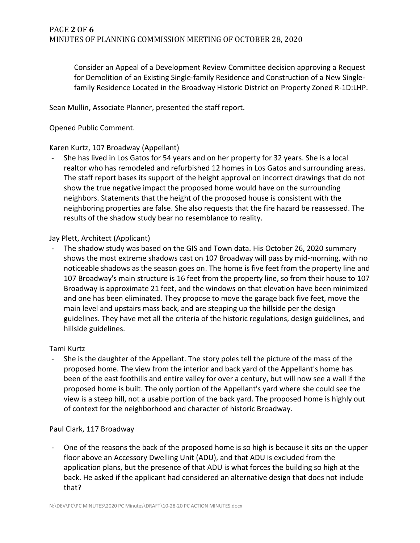Consider an Appeal of a Development Review Committee decision approving a Request for Demolition of an Existing Single-family Residence and Construction of a New Singlefamily Residence Located in the Broadway Historic District on Property Zoned R-1D:LHP.

Sean Mullin, Associate Planner, presented the staff report.

Opened Public Comment.

### Karen Kurtz, 107 Broadway (Appellant)

She has lived in Los Gatos for 54 years and on her property for 32 years. She is a local realtor who has remodeled and refurbished 12 homes in Los Gatos and surrounding areas. The staff report bases its support of the height approval on incorrect drawings that do not show the true negative impact the proposed home would have on the surrounding neighbors. Statements that the height of the proposed house is consistent with the neighboring properties are false. She also requests that the fire hazard be reassessed. The results of the shadow study bear no resemblance to reality.

### Jay Plett, Architect (Applicant)

- The shadow study was based on the GIS and Town data. His October 26, 2020 summary shows the most extreme shadows cast on 107 Broadway will pass by mid-morning, with no noticeable shadows as the season goes on. The home is five feet from the property line and 107 Broadway's main structure is 16 feet from the property line, so from their house to 107 Broadway is approximate 21 feet, and the windows on that elevation have been minimized and one has been eliminated. They propose to move the garage back five feet, move the main level and upstairs mass back, and are stepping up the hillside per the design guidelines. They have met all the criteria of the historic regulations, design guidelines, and hillside guidelines.

## Tami Kurtz

- She is the daughter of the Appellant. The story poles tell the picture of the mass of the proposed home. The view from the interior and back yard of the Appellant's home has been of the east foothills and entire valley for over a century, but will now see a wall if the proposed home is built. The only portion of the Appellant's yard where she could see the view is a steep hill, not a usable portion of the back yard. The proposed home is highly out of context for the neighborhood and character of historic Broadway.

## Paul Clark, 117 Broadway

- One of the reasons the back of the proposed home is so high is because it sits on the upper floor above an Accessory Dwelling Unit (ADU), and that ADU is excluded from the application plans, but the presence of that ADU is what forces the building so high at the back. He asked if the applicant had considered an alternative design that does not include that?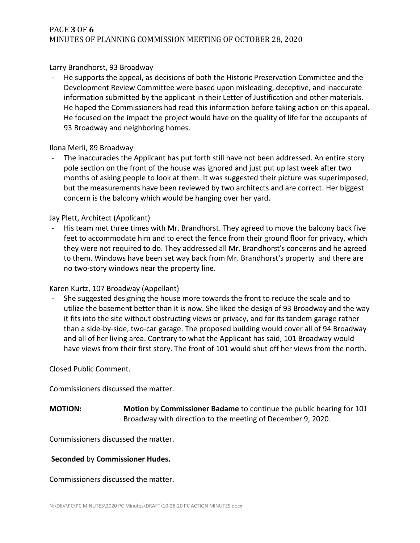## PAGE **3** OF **6** MINUTES OF PLANNING COMMISSION MEETING OF OCTOBER 28, 2020

### Larry Brandhorst, 93 Broadway

- He supports the appeal, as decisions of both the Historic Preservation Committee and the Development Review Committee were based upon misleading, deceptive, and inaccurate information submitted by the applicant in their Letter of Justification and other materials. He hoped the Commissioners had read this information before taking action on this appeal. He focused on the impact the project would have on the quality of life for the occupants of 93 Broadway and neighboring homes.

#### Ilona Merli, 89 Broadway

The inaccuracies the Applicant has put forth still have not been addressed. An entire story pole section on the front of the house was ignored and just put up last week after two months of asking people to look at them. It was suggested their picture was superimposed, but the measurements have been reviewed by two architects and are correct. Her biggest concern is the balcony which would be hanging over her yard.

### Jay Plett, Architect (Applicant)

His team met three times with Mr. Brandhorst. They agreed to move the balcony back five feet to accommodate him and to erect the fence from their ground floor for privacy, which they were not required to do. They addressed all Mr. Brandhorst's concerns and he agreed to them. Windows have been set way back from Mr. Brandhorst's property and there are no two-story windows near the property line.

### Karen Kurtz, 107 Broadway (Appellant)

She suggested designing the house more towards the front to reduce the scale and to utilize the basement better than it is now. She liked the design of 93 Broadway and the way it fits into the site without obstructing views or privacy, and for its tandem garage rather than a side-by-side, two-car garage. The proposed building would cover all of 94 Broadway and all of her living area. Contrary to what the Applicant has said, 101 Broadway would have views from their first story. The front of 101 would shut off her views from the north.

#### Closed Public Comment.

Commissioners discussed the matter.

**MOTION: Motion** by **Commissioner Badame** to continue the public hearing for 101 Broadway with direction to the meeting of December 9, 2020.

Commissioners discussed the matter.

#### **Seconded** by **Commissioner Hudes.**

Commissioners discussed the matter.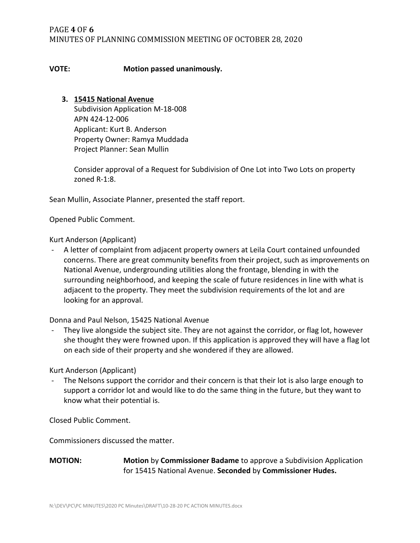### **VOTE: Motion passed unanimously.**

### **3. 15415 National Avenue**

Subdivision Application M-18-008 APN 424-12-006 Applicant: Kurt B. Anderson Property Owner: Ramya Muddada Project Planner: Sean Mullin

Consider approval of a Request for Subdivision of One Lot into Two Lots on property zoned R-1:8.

Sean Mullin, Associate Planner, presented the staff report.

Opened Public Comment.

Kurt Anderson (Applicant)

- A letter of complaint from adjacent property owners at Leila Court contained unfounded concerns. There are great community benefits from their project, such as improvements on National Avenue, undergrounding utilities along the frontage, blending in with the surrounding neighborhood, and keeping the scale of future residences in line with what is adjacent to the property. They meet the subdivision requirements of the lot and are looking for an approval.

Donna and Paul Nelson, 15425 National Avenue

They live alongside the subject site. They are not against the corridor, or flag lot, however she thought they were frowned upon. If this application is approved they will have a flag lot on each side of their property and she wondered if they are allowed.

#### Kurt Anderson (Applicant)

- The Nelsons support the corridor and their concern is that their lot is also large enough to support a corridor lot and would like to do the same thing in the future, but they want to know what their potential is.

Closed Public Comment.

Commissioners discussed the matter.

**MOTION: Motion** by **Commissioner Badame** to approve a Subdivision Application for 15415 National Avenue. **Seconded** by **Commissioner Hudes.**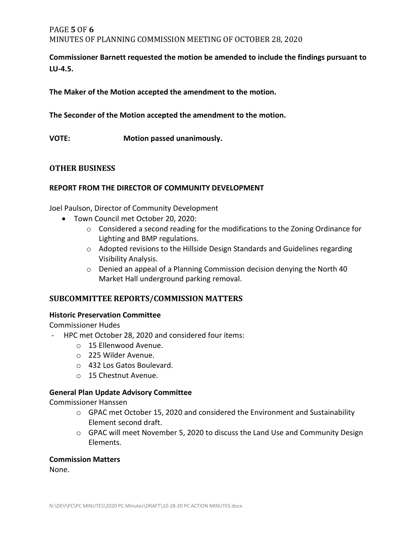## PAGE **5** OF **6** MINUTES OF PLANNING COMMISSION MEETING OF OCTOBER 28, 2020

**Commissioner Barnett requested the motion be amended to include the findings pursuant to LU-4.5.** 

**The Maker of the Motion accepted the amendment to the motion.**

**The Seconder of the Motion accepted the amendment to the motion.**

**VOTE: Motion passed unanimously.**

### **OTHER BUSINESS**

### **REPORT FROM THE DIRECTOR OF COMMUNITY DEVELOPMENT**

Joel Paulson, Director of Community Development

- Town Council met October 20, 2020:
	- o Considered a second reading for the modifications to the Zoning Ordinance for Lighting and BMP regulations.
	- o Adopted revisions to the Hillside Design Standards and Guidelines regarding Visibility Analysis.
	- $\circ$  Denied an appeal of a Planning Commission decision denying the North 40 Market Hall underground parking removal.

### **SUBCOMMITTEE REPORTS/COMMISSION MATTERS**

#### **Historic Preservation Committee**

Commissioner Hudes

- HPC met October 28, 2020 and considered four items:
	- o 15 Ellenwood Avenue.
	- o 225 Wilder Avenue.
	- o 432 Los Gatos Boulevard.
	- o 15 Chestnut Avenue.

### **General Plan Update Advisory Committee**

Commissioner Hanssen

- o GPAC met October 15, 2020 and considered the Environment and Sustainability Element second draft.
- o GPAC will meet November 5, 2020 to discuss the Land Use and Community Design Elements.

#### **Commission Matters**

None.